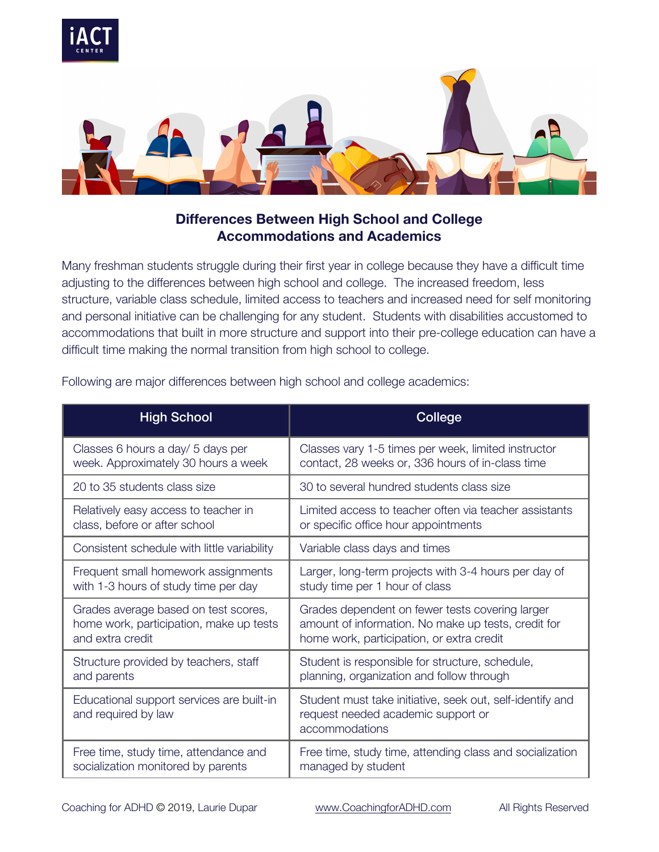

## **Differences Between High School and College Accommodations and Academics**

Many freshman students struggle during their first year in college because they have a difficult time adjusting to the differences between high school and college. The increased freedom, less structure, variable class schedule, limited access to teachers and increased need for self monitoring and personal initiative can be challenging for any student. Students with disabilities accustomed to accommodations that built in more structure and support into their pre-college education can have a difficult time making the normal transition from high school to college.

| <b>High School</b>                                               | College                                                                                                           |
|------------------------------------------------------------------|-------------------------------------------------------------------------------------------------------------------|
| Classes 6 hours a day/ 5 days per                                | Classes vary 1-5 times per week, limited instructor                                                               |
| week. Approximately 30 hours a week                              | contact, 28 weeks or, 336 hours of in-class time                                                                  |
| 20 to 35 students class size                                     | 30 to several hundred students class size                                                                         |
| Relatively easy access to teacher in                             | Limited access to teacher often via teacher assistants                                                            |
| class, before or after school                                    | or specific office hour appointments                                                                              |
| Consistent schedule with little variability                      | Variable class days and times                                                                                     |
| Frequent small homework assignments                              | Larger, long-term projects with 3-4 hours per day of                                                              |
| with 1-3 hours of study time per day                             | study time per 1 hour of class                                                                                    |
| Grades average based on test scores,                             | Grades dependent on fewer tests covering larger                                                                   |
| home work, participation, make up tests                          | amount of information. No make up tests, credit for                                                               |
| and extra credit                                                 | home work, participation, or extra credit                                                                         |
| Structure provided by teachers, staff                            | Student is responsible for structure, schedule,                                                                   |
| and parents                                                      | planning, organization and follow through                                                                         |
| Educational support services are built-in<br>and required by law | Student must take initiative, seek out, self-identify and<br>request needed academic support or<br>accommodations |
| Free time, study time, attendance and                            | Free time, study time, attending class and socialization                                                          |
| socialization monitored by parents                               | managed by student                                                                                                |

Following are major differences between high school and college academics: